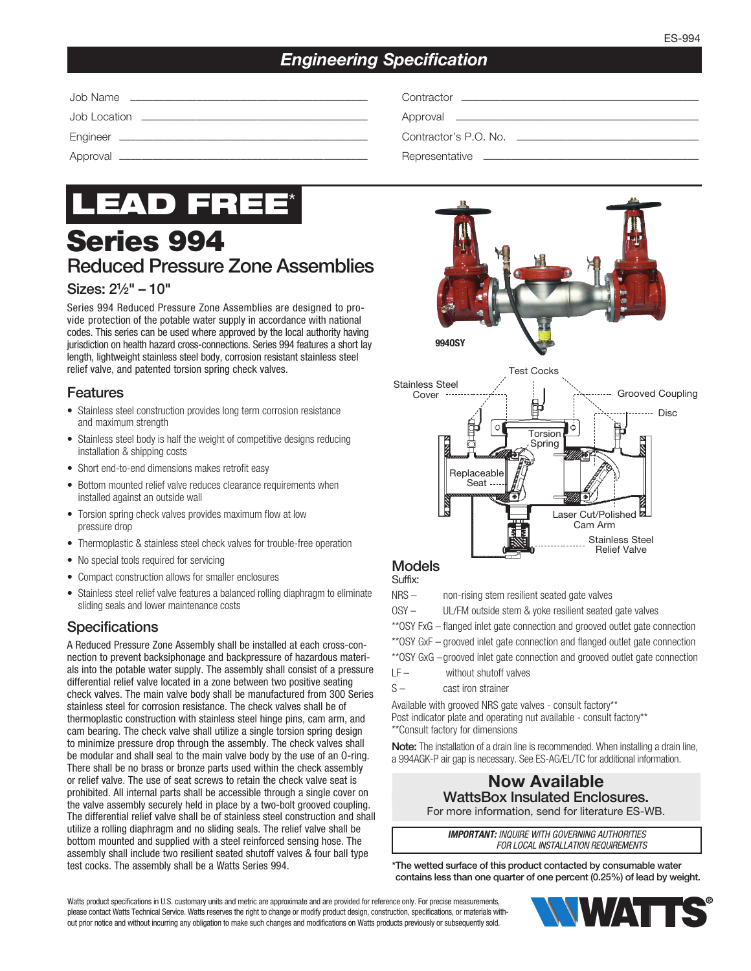## *Engineering Specification*



# Series 994 Reduced Pressure Zone Assemblies

## Sizes: 21⁄2" – 10"

Series 994 Reduced Pressure Zone Assemblies are designed to provide protection of the potable water supply in accordance with national codes. This series can be used where approved by the local authority having jurisdiction on health hazard cross-connections. Series 994 features a short lay length, lightweight stainless steel body, corrosion resistant stainless steel relief valve, and patented torsion spring check valves.

## Features

- Stainless steel construction provides long term corrosion resistance and maximum strength
- Stainless steel body is half the weight of competitive designs reducing installation & shipping costs
- Short end-to-end dimensions makes retrofit easy
- Bottom mounted relief valve reduces clearance requirements when installed against an outside wall
- Torsion spring check valves provides maximum flow at low pressure drop
- Thermoplastic & stainless steel check valves for trouble-free operation
- No special tools required for servicing
- Compact construction allows for smaller enclosures
- Stainless steel relief valve features a balanced rolling diaphragm to eliminate sliding seals and lower maintenance costs

### **Specifications**

A Reduced Pressure Zone Assembly shall be installed at each cross-connection to prevent backsiphonage and backpressure of hazardous materials into the potable water supply. The assembly shall consist of a pressure differential relief valve located in a zone between two positive seating check valves. The main valve body shall be manufactured from 300 Series stainless steel for corrosion resistance. The check valves shall be of thermoplastic construction with stainless steel hinge pins, cam arm, and cam bearing. The check valve shall utilize a single torsion spring design to minimize pressure drop through the assembly. The check valves shall be modular and shall seal to the main valve body by the use of an O-ring. There shall be no brass or bronze parts used within the check assembly or relief valve. The use of seat screws to retain the check valve seat is prohibited. All internal parts shall be accessible through a single cover on the valve assembly securely held in place by a two-bolt grooved coupling. The differential relief valve shall be of stainless steel construction and shall utilize a rolling diaphragm and no sliding seals. The relief valve shall be bottom mounted and supplied with a steel reinforced sensing hose. The assembly shall include two resilient seated shutoff valves & four ball type test cocks. The assembly shall be a Watts Series 994.





#### Models

Suffix:

- NRS non-rising stem resilient seated gate valves OSY – UL/FM outside stem & yoke resilient seated gate valves \*\*OSY FxG – flanged inlet gate connection and grooved outlet gate connection \*\*OSY GxF – grooved inlet gate connection and flanged outlet gate connection \*\*OSY GxG – grooved inlet gate connection and grooved outlet gate connection LF – without shutoff valves
- S cast iron strainer

Available with grooved NRS gate valves - consult factory\*\* Post indicator plate and operating nut available - consult factory\*\* \*\*Consult factory for dimensions

Note: The installation of a drain line is recommended. When installing a drain line, a 994AGK-P air gap is necessary. See ES-AG/EL/TC for additional information.

#### Now Available WattsBox Insulated Enclosures. For more information, send for literature ES-WB.

*IMPORTANT: INQUIRE WITH GOVERNING AUTHORITIES FOR LOCAL INSTALLATION REQUIREMENTS*

\*The wetted surface of this product contacted by consumable water contains less than one quarter of one percent (0.25%) of lead by weight.

Watts product specifications in U.S. customary units and metric are approximate and are provided for reference only. For precise measurements, please contact Watts Technical Service. Watts reserves the right to change or modify product design, construction, specifications, or materials without prior notice and without incurring any obligation to make such changes and modifications on Watts products previously or subsequently sold.